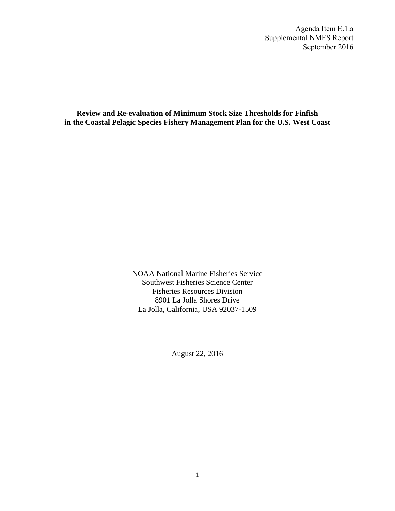Agenda Item E.1.a Supplemental NMFS Report September 2016

**Review and Re-evaluation of Minimum Stock Size Thresholds for Finfish in the Coastal Pelagic Species Fishery Management Plan for the U.S. West Coast** 

> NOAA National Marine Fisheries Service Southwest Fisheries Science Center Fisheries Resources Division 8901 La Jolla Shores Drive La Jolla, California, USA 92037-1509

> > August 22, 2016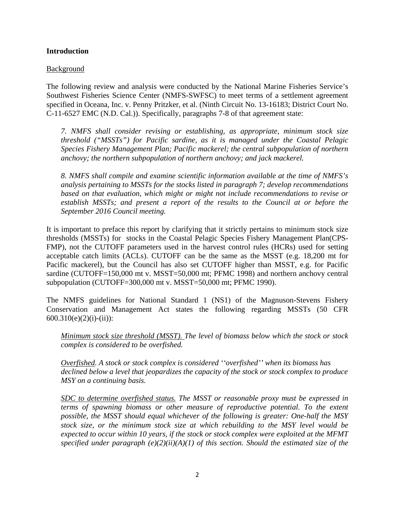# **Introduction**

# Background

The following review and analysis were conducted by the National Marine Fisheries Service's Southwest Fisheries Science Center (NMFS-SWFSC) to meet terms of a settlement agreement specified in Oceana, Inc. v. Penny Pritzker, et al. (Ninth Circuit No. 13-16183; District Court No. C-11-6527 EMC (N.D. Cal.)). Specifically, paragraphs 7-8 of that agreement state:

*7. NMFS shall consider revising or establishing, as appropriate, minimum stock size threshold ("MSSTs") for Pacific sardine, as it is managed under the Coastal Pelagic Species Fishery Management Plan; Pacific mackerel; the central subpopulation of northern anchovy; the northern subpopulation of northern anchovy; and jack mackerel.* 

*8. NMFS shall compile and examine scientific information available at the time of NMFS's analysis pertaining to MSSTs for the stocks listed in paragraph 7; develop recommendations based on that evaluation, which might or might not include recommendations to revise or establish MSSTs; and present a report of the results to the Council at or before the September 2016 Council meeting.* 

It is important to preface this report by clarifying that it strictly pertains to minimum stock size thresholds (MSSTs) for stocks in the Coastal Pelagic Species Fishery Management Plan(CPS-FMP), not the CUTOFF parameters used in the harvest control rules (HCRs) used for setting acceptable catch limits (ACLs). CUTOFF can be the same as the MSST (e.g. 18,200 mt for Pacific mackerel), but the Council has also set CUTOFF higher than MSST, e.g. for Pacific sardine (CUTOFF=150,000 mt v. MSST=50,000 mt; PFMC 1998) and northern anchovy central subpopulation (CUTOFF=300,000 mt v. MSST=50,000 mt; PFMC 1990).

The NMFS guidelines for National Standard 1 (NS1) of the Magnuson-Stevens Fishery Conservation and Management Act states the following regarding MSSTs (50 CFR  $600.310(e)(2)(i)-(ii))$ :

*Minimum stock size threshold (MSST). The level of biomass below which the stock or stock complex is considered to be overfished.*

*Overfished. A stock or stock complex is considered ''overfished'' when its biomass has declined below a level that jeopardizes the capacity of the stock or stock complex to produce MSY on a continuing basis.* 

*SDC to determine overfished status. The MSST or reasonable proxy must be expressed in terms of spawning biomass or other measure of reproductive potential. To the extent possible, the MSST should equal whichever of the following is greater: One-half the MSY stock size, or the minimum stock size at which rebuilding to the MSY level would be expected to occur within 10 years, if the stock or stock complex were exploited at the MFMT specified under paragraph (e)(2)(ii)(A)(1) of this section. Should the estimated size of the*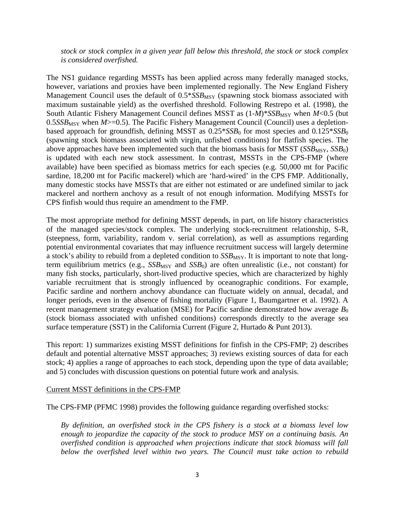*stock or stock complex in a given year fall below this threshold, the stock or stock complex is considered overfished.*

The NS1 guidance regarding MSSTs has been applied across many federally managed stocks, however, variations and proxies have been implemented regionally. The New England Fishery Management Council uses the default of  $0.5*SSB_{MSY}$  (spawning stock biomass associated with maximum sustainable yield) as the overfished threshold. Following Restrepo et al. (1998), the South Atlantic Fishery Management Council defines MSST as  $(1-M)^*SSB_{MSY}$  when  $M<0.5$  (but 0.5*SSB*<sub>MSY</sub> when *M*>=0.5). The Pacific Fishery Management Council (Council) uses a depletionbased approach for groundfish, defining MSST as  $0.25*SSB_0$  for most species and  $0.125*SSB_0$ (spawning stock biomass associated with virgin, unfished conditions) for flatfish species. The above approaches have been implemented such that the biomass basis for MSST (*SSB<sub>MSY</sub>*, *SSB*<sub>0</sub>) is updated with each new stock assessment. In contrast, MSSTs in the CPS-FMP (where available) have been specified as biomass metrics for each species (e.g. 50,000 mt for Pacific sardine, 18,200 mt for Pacific mackerel) which are 'hard-wired' in the CPS FMP. Additionally, many domestic stocks have MSSTs that are either not estimated or are undefined similar to jack mackerel and northern anchovy as a result of not enough information. Modifying MSSTs for CPS finfish would thus require an amendment to the FMP.

The most appropriate method for defining MSST depends, in part, on life history characteristics of the managed species/stock complex. The underlying stock-recruitment relationship, S-R, (steepness, form, variability, random v. serial correlation), as well as assumptions regarding potential environmental covariates that may influence recruitment success will largely determine a stock's ability to rebuild from a depleted condition to *SSB*<sub>MSY</sub>. It is important to note that longterm equilibrium metrics (e.g.,  $SSB_{MSY}$  and  $SSB_0$ ) are often unrealistic (i.e., not constant) for many fish stocks, particularly, short-lived productive species, which are characterized by highly variable recruitment that is strongly influenced by oceanographic conditions. For example, Pacific sardine and northern anchovy abundance can fluctuate widely on annual, decadal, and longer periods, even in the absence of fishing mortality (Figure 1, Baumgartner et al. 1992). A recent management strategy evaluation (MSE) for Pacific sardine demonstrated how average  $B_0$ (stock biomass associated with unfished conditions) corresponds directly to the average sea surface temperature (SST) in the California Current (Figure 2, Hurtado & Punt 2013).

This report: 1) summarizes existing MSST definitions for finfish in the CPS-FMP; 2) describes default and potential alternative MSST approaches; 3) reviews existing sources of data for each stock; 4) applies a range of approaches to each stock, depending upon the type of data available; and 5) concludes with discussion questions on potential future work and analysis.

### Current MSST definitions in the CPS-FMP

The CPS-FMP (PFMC 1998) provides the following guidance regarding overfished stocks:

*By definition, an overfished stock in the CPS fishery is a stock at a biomass level low enough to jeopardize the capacity of the stock to produce MSY on a continuing basis. An overfished condition is approached when projections indicate that stock biomass will fall below the overfished level within two years. The Council must take action to rebuild*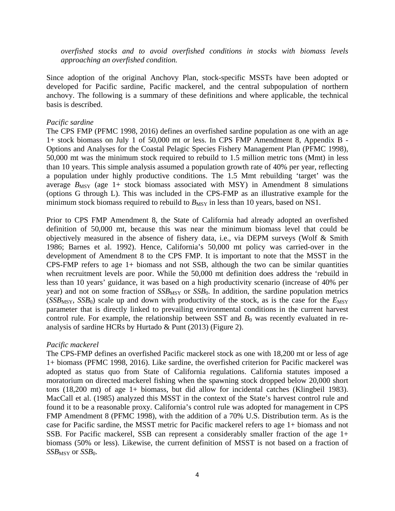*overfished stocks and to avoid overfished conditions in stocks with biomass levels approaching an overfished condition.*

Since adoption of the original Anchovy Plan, stock-specific MSSTs have been adopted or developed for Pacific sardine, Pacific mackerel, and the central subpopulation of northern anchovy. The following is a summary of these definitions and where applicable, the technical basis is described.

#### *Pacific sardine*

The CPS FMP (PFMC 1998, 2016) defines an overfished sardine population as one with an age 1+ stock biomass on July 1 of 50,000 mt or less. In CPS FMP Amendment 8, Appendix B - Options and Analyses for the Coastal Pelagic Species Fishery Management Plan (PFMC 1998), 50,000 mt was the minimum stock required to rebuild to 1.5 million metric tons (Mmt) in less than 10 years. This simple analysis assumed a population growth rate of 40% per year, reflecting a population under highly productive conditions. The 1.5 Mmt rebuilding 'target' was the average  $B_{\text{MSY}}$  (age 1+ stock biomass associated with MSY) in Amendment 8 simulations (options G through L). This was included in the CPS-FMP as an illustrative example for the minimum stock biomass required to rebuild to  $B_{\text{MSY}}$  in less than 10 years, based on NS1.

Prior to CPS FMP Amendment 8, the State of California had already adopted an overfished definition of 50,000 mt, because this was near the minimum biomass level that could be objectively measured in the absence of fishery data, i.e., via DEPM surveys (Wolf & Smith 1986; Barnes et al. 1992). Hence, California's 50,000 mt policy was carried-over in the development of Amendment 8 to the CPS FMP. It is important to note that the MSST in the CPS-FMP refers to age  $1+$  biomass and not SSB, although the two can be similar quantities when recruitment levels are poor. While the 50,000 mt definition does address the 'rebuild in less than 10 years' guidance, it was based on a high productivity scenario (increase of 40% per year) and not on some fraction of  $SSB_{MSY}$  or  $SSB_0$ . In addition, the sardine population metrics  $(SSB<sub>MSY</sub>, SSB<sub>0</sub>)$  scale up and down with productivity of the stock, as is the case for the  $E<sub>MSY</sub>$ parameter that is directly linked to prevailing environmental conditions in the current harvest control rule. For example, the relationship between SST and  $B_0$  was recently evaluated in reanalysis of sardine HCRs by Hurtado & Punt (2013) (Figure 2).

### *Pacific mackerel*

The CPS-FMP defines an overfished Pacific mackerel stock as one with 18,200 mt or less of age 1+ biomass (PFMC 1998, 2016). Like sardine, the overfished criterion for Pacific mackerel was adopted as status quo from State of California regulations. California statutes imposed a moratorium on directed mackerel fishing when the spawning stock dropped below 20,000 short tons (18,200 mt) of age 1+ biomass, but did allow for incidental catches (Klingbeil 1983). MacCall et al. (1985) analyzed this MSST in the context of the State's harvest control rule and found it to be a reasonable proxy. California's control rule was adopted for management in CPS FMP Amendment 8 (PFMC 1998), with the addition of a 70% U.S. Distribution term. As is the case for Pacific sardine, the MSST metric for Pacific mackerel refers to age 1+ biomass and not SSB. For Pacific mackerel, SSB can represent a considerably smaller fraction of the age 1+ biomass (50% or less). Likewise, the current definition of MSST is not based on a fraction of *SSB*<sub>MSY</sub> or *SSB*<sub>0</sub>.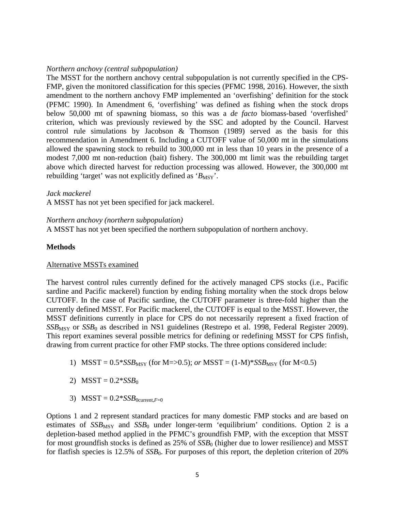## *Northern anchovy (central subpopulation)*

The MSST for the northern anchovy central subpopulation is not currently specified in the CPS-FMP, given the monitored classification for this species (PFMC 1998, 2016). However, the sixth amendment to the northern anchovy FMP implemented an 'overfishing' definition for the stock (PFMC 1990). In Amendment 6, 'overfishing' was defined as fishing when the stock drops below 50,000 mt of spawning biomass, so this was a *de facto* biomass-based 'overfished' criterion, which was previously reviewed by the SSC and adopted by the Council. Harvest control rule simulations by Jacobson & Thomson (1989) served as the basis for this recommendation in Amendment 6. Including a CUTOFF value of 50,000 mt in the simulations allowed the spawning stock to rebuild to 300,000 mt in less than 10 years in the presence of a modest 7,000 mt non-reduction (bait) fishery. The 300,000 mt limit was the rebuilding target above which directed harvest for reduction processing was allowed. However, the 300,000 mt rebuilding 'target' was not explicitly defined as ' $B_{\text{MSY}}$ '.

### *Jack mackerel*

A MSST has not yet been specified for jack mackerel.

### *Northern anchovy (northern subpopulation)*

A MSST has not yet been specified the northern subpopulation of northern anchovy.

# **Methods**

# Alternative MSSTs examined

The harvest control rules currently defined for the actively managed CPS stocks (i.e., Pacific sardine and Pacific mackerel) function by ending fishing mortality when the stock drops below CUTOFF. In the case of Pacific sardine, the CUTOFF parameter is three-fold higher than the currently defined MSST. For Pacific mackerel, the CUTOFF is equal to the MSST. However, the MSST definitions currently in place for CPS do not necessarily represent a fixed fraction of *SSB<sub>MSY</sub>* or *SSB*<sub>0</sub> as described in NS1 guidelines (Restrepo et al. 1998, Federal Register 2009). This report examines several possible metrics for defining or redefining MSST for CPS finfish, drawing from current practice for other FMP stocks. The three options considered include:

- 1) MSST =  $0.5*SSB_{MSY}$  (for M=>0.5); *or* MSST =  $(1-M)*SSB_{MSY}$  (for M<0.5)
- 2)  $MSST = 0.2 * SSB<sub>0</sub>$
- 3)  $MSST = 0.2 * SSB$ <sub>0current</sub> $F=0$

Options 1 and 2 represent standard practices for many domestic FMP stocks and are based on estimates of  $SSB_{MSY}$  and  $SSB_0$  under longer-term 'equilibrium' conditions. Option 2 is a depletion-based method applied in the PFMC's groundfish FMP, with the exception that MSST for most groundfish stocks is defined as 25% of  $SSB<sub>0</sub>$  (higher due to lower resilience) and MSST for flatfish species is 12.5% of *SSB*<sub>0</sub>. For purposes of this report, the depletion criterion of 20%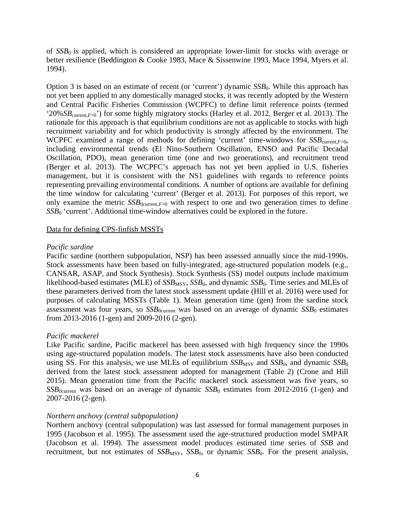of *SSB*<sup>0</sup> is applied, which is considered an appropriate lower-limit for stocks with average or better resilience (Beddington & Cooke 1983, Mace & Sissenwine 1993, Mace 1994, Myers et al. 1994).

Option 3 is based on an estimate of recent (or 'current') dynamic *SSB*<sub>0</sub>. While this approach has not yet been applied to any domestically managed stocks, it was recently adopted by the Western and Central Pacific Fisheries Commission (WCPFC) to define limit reference points (termed '20%*SB*current,*<sup>F</sup>*=0') for some highly migratory stocks (Harley et al. 2012, Berger et al. 2013). The rationale for this approach is that equilibrium conditions are not as applicable to stocks with high recruitment variability and for which productivity is strongly affected by the environment. The WCPFC examined a range of methods for defining 'current' time-windows for *SSB*<sub>current</sub>,*F*=0, including environmental trends (El Nino-Southern Oscillation, ENSO and Pacific Decadal Oscillation, PDO), mean generation time (one and two generations), and recruitment trend (Berger et al. 2013). The WCPFC's approach has not yet been applied in U.S. fisheries management, but it is consistent with the NS1 guidelines with regards to reference points representing prevailing environmental conditions. A number of options are available for defining the time window for calculating 'current' (Berger et al. 2013). For purposes of this report, we only examine the metric  $SSB_{0current,F=0}$  with respect to one and two generation times to define *SSB*<sub>0</sub> 'current'. Additional time-window alternatives could be explored in the future.

#### Data for defining CPS-finfish MSSTs

#### *Pacific sardine*

Pacific sardine (northern subpopulation, NSP) has been assessed annually since the mid-1990s. Stock assessments have been based on fully-integrated, age-structured population models (e.g., CANSAR, ASAP, and Stock Synthesis). Stock Synthesis (SS) model outputs include maximum likelihood-based estimates (MLE) of *SSB*<sub>MSY</sub>, *SSB*<sub>0</sub>, and dynamic *SSB*<sub>0</sub>. Time series and MLEs of these parameters derived from the latest stock assessment update (Hill et al. 2016) were used for purposes of calculating MSSTs (Table 1). Mean generation time (gen) from the sardine stock assessment was four years, so  $SSB_{0current}$  was based on an average of dynamic  $SSB_0$  estimates from 2013-2016 (1-gen) and 2009-2016 (2-gen).

#### *Pacific mackerel*

Like Pacific sardine, Pacific mackerel has been assessed with high frequency since the 1990s using age-structured population models. The latest stock assessments have also been conducted using SS. For this analysis, we use MLEs of equilibrium  $SSB_{MSY}$  and  $SSB_0$ , and dynamic  $SSB_0$ derived from the latest stock assessment adopted for management (Table 2) (Crone and Hill 2015). Mean generation time from the Pacific mackerel stock assessment was five years, so *SSB*0current was based on an average of dynamic *SSB*<sup>0</sup> estimates from 2012-2016 (1-gen) and 2007-2016 (2-gen).

#### *Northern anchovy (central subpopulation)*

Northern anchovy (central subpopulation) was last assessed for formal management purposes in 1995 (Jacobson et al. 1995). The assessment used the age-structured production model SMPAR (Jacobson et al. 1994). The assessment model produces estimated time series of *SSB* and recruitment, but not estimates of  $SSB_{MSY}$ ,  $SSB_0$ , or dynamic  $SSB_0$ . For the present analysis,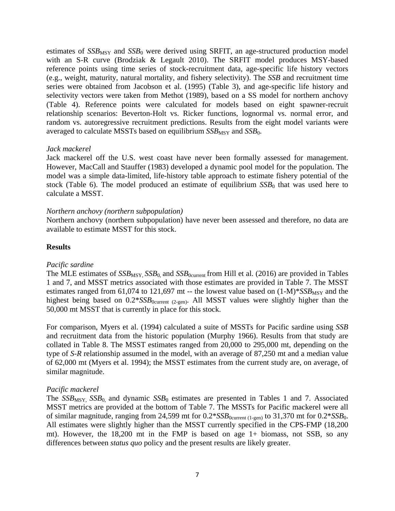estimates of  $SSB_{\text{MSY}}$  and  $SSB_0$  were derived using SRFIT, an age-structured production model with an S-R curve (Brodziak & Legault 2010). The SRFIT model produces MSY-based reference points using time series of stock-recruitment data, age-specific life history vectors (e.g., weight, maturity, natural mortality, and fishery selectivity). The *SSB* and recruitment time series were obtained from Jacobson et al. (1995) (Table 3), and age-specific life history and selectivity vectors were taken from Methot (1989), based on a SS model for northern anchovy (Table 4). Reference points were calculated for models based on eight spawner-recruit relationship scenarios: Beverton-Holt vs. Ricker functions, lognormal vs. normal error, and random vs. autoregressive recruitment predictions. Results from the eight model variants were averaged to calculate MSSTs based on equilibrium  $SSB_{MSY}$  and  $SSB_0$ .

### *Jack mackerel*

Jack mackerel off the U.S. west coast have never been formally assessed for management. However, MacCall and Stauffer (1983) developed a dynamic pool model for the population. The model was a simple data-limited, life-history table approach to estimate fishery potential of the stock (Table 6). The model produced an estimate of equilibrium  $SSB<sub>0</sub>$  that was used here to calculate a MSST.

### *Northern anchovy (northern subpopulation)*

Northern anchovy (northern subpopulation) have never been assessed and therefore, no data are available to estimate MSST for this stock.

## **Results**

### *Pacific sardine*

The MLE estimates of *SSB*<sub>MSY</sub>, *SSB*<sub>0</sub>, and *SSB*<sub>0current</sub> from Hill et al. (2016) are provided in Tables 1 and 7, and MSST metrics associated with those estimates are provided in Table 7. The MSST estimates ranged from 61,074 to 121,697 mt -- the lowest value based on  $(1-M)^*SSB_{MSY}$  and the highest being based on  $0.2*SSB_{0current (2-gen)}$ . All MSST values were slightly higher than the 50,000 mt MSST that is currently in place for this stock.

For comparison, Myers et al. (1994) calculated a suite of MSSTs for Pacific sardine using *SSB* and recruitment data from the historic population (Murphy 1966). Results from that study are collated in Table 8. The MSST estimates ranged from 20,000 to 295,000 mt, depending on the type of *S-R* relationship assumed in the model, with an average of 87,250 mt and a median value of 62,000 mt (Myers et al. 1994); the MSST estimates from the current study are, on average, of similar magnitude.

### *Pacific mackerel*

The *SSB<sub>MSY</sub>*, *SSB*<sub>0</sub>, and dynamic *SSB*<sub>0</sub> estimates are presented in Tables 1 and 7. Associated MSST metrics are provided at the bottom of Table 7. The MSSTs for Pacific mackerel were all of similar magnitude, ranging from  $24,599$  mt for  $0.2*SSB_{0current (1-gen)}$  to  $31,370$  mt for  $0.2*SSB_0$ . All estimates were slightly higher than the MSST currently specified in the CPS-FMP (18,200 mt). However, the 18,200 mt in the FMP is based on age 1+ biomass, not SSB, so any differences between *status quo* policy and the present results are likely greater.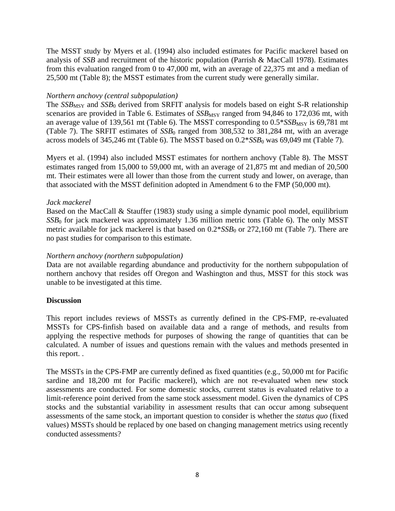The MSST study by Myers et al. (1994) also included estimates for Pacific mackerel based on analysis of *SSB* and recruitment of the historic population (Parrish & MacCall 1978). Estimates from this evaluation ranged from 0 to 47,000 mt, with an average of 22,375 mt and a median of 25,500 mt (Table 8); the MSST estimates from the current study were generally similar.

# *Northern anchovy (central subpopulation)*

The  $SSB_{MSY}$  and  $SSB_0$  derived from SRFIT analysis for models based on eight S-R relationship scenarios are provided in Table 6. Estimates of  $SSB_{MSY}$  ranged from 94,846 to 172,036 mt, with an average value of 139,561 mt (Table 6). The MSST corresponding to  $0.5*SSB_{MSY}$  is 69,781 mt (Table 7). The SRFIT estimates of  $SSB<sub>0</sub>$  ranged from  $308,532$  to  $381,284$  mt, with an average across models of  $345,246$  mt (Table 6). The MSST based on  $0.2*SSB<sub>0</sub>$  was  $69,049$  mt (Table 7).

Myers et al. (1994) also included MSST estimates for northern anchovy (Table 8). The MSST estimates ranged from 15,000 to 59,000 mt, with an average of 21,875 mt and median of 20,500 mt. Their estimates were all lower than those from the current study and lower, on average, than that associated with the MSST definition adopted in Amendment 6 to the FMP (50,000 mt).

# *Jack mackerel*

Based on the MacCall & Stauffer (1983) study using a simple dynamic pool model, equilibrium *SSB*<sub>0</sub> for jack mackerel was approximately 1.36 million metric tons (Table 6). The only MSST metric available for jack mackerel is that based on  $0.2*SSB_0$  or 272,160 mt (Table 7). There are no past studies for comparison to this estimate.

# *Northern anchovy (northern subpopulation)*

Data are not available regarding abundance and productivity for the northern subpopulation of northern anchovy that resides off Oregon and Washington and thus, MSST for this stock was unable to be investigated at this time.

# **Discussion**

This report includes reviews of MSSTs as currently defined in the CPS-FMP, re-evaluated MSSTs for CPS-finfish based on available data and a range of methods, and results from applying the respective methods for purposes of showing the range of quantities that can be calculated. A number of issues and questions remain with the values and methods presented in this report. .

The MSSTs in the CPS-FMP are currently defined as fixed quantities (e.g., 50,000 mt for Pacific sardine and 18,200 mt for Pacific mackerel), which are not re-evaluated when new stock assessments are conducted. For some domestic stocks, current status is evaluated relative to a limit-reference point derived from the same stock assessment model. Given the dynamics of CPS stocks and the substantial variability in assessment results that can occur among subsequent assessments of the same stock, an important question to consider is whether the *status quo* (fixed values) MSSTs should be replaced by one based on changing management metrics using recently conducted assessments?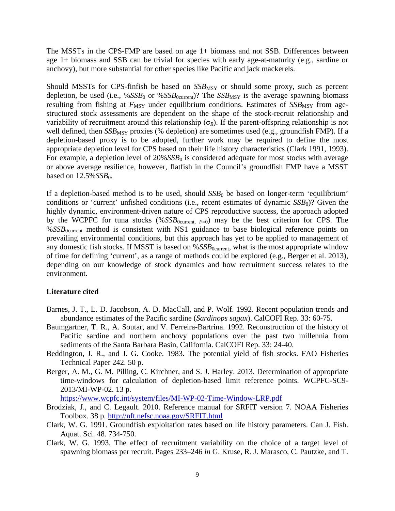The MSSTs in the CPS-FMP are based on age 1+ biomass and not SSB. Differences between age 1+ biomass and SSB can be trivial for species with early age-at-maturity (e.g., sardine or anchovy), but more substantial for other species like Pacific and jack mackerels.

Should MSSTs for CPS-finfish be based on  $SSB_{MSY}$  or should some proxy, such as percent depletion, be used (i.e., %*SSB*<sub>0</sub> or %*SSB*<sub>0current</sub>)? The *SSB*<sub>MSY</sub> is the average spawning biomass resulting from fishing at  $F_{\text{MSY}}$  under equilibrium conditions. Estimates of  $SSB_{\text{MSY}}$  from agestructured stock assessments are dependent on the shape of the stock-recruit relationship and variability of recruitment around this relationship ( $\sigma_R$ ). If the parent-offspring relationship is not well defined, then *SSB*<sub>MSY</sub> proxies (% depletion) are sometimes used (e.g., groundfish FMP). If a depletion-based proxy is to be adopted, further work may be required to define the most appropriate depletion level for CPS based on their life history characteristics (Clark 1991, 1993). For example, a depletion level of 20%*SSB*<sub>0</sub> is considered adequate for most stocks with average or above average resilience, however, flatfish in the Council's groundfish FMP have a MSST based on  $12.5\%$ *SSB*<sub>0</sub>.

If a depletion-based method is to be used, should *SSB*<sub>0</sub> be based on longer-term 'equilibrium' conditions or 'current' unfished conditions (i.e., recent estimates of dynamic *SSB*<sub>0</sub>)? Given the highly dynamic, environment-driven nature of CPS reproductive success, the approach adopted by the WCPFC for tuna stocks (% $SSB_{0current, F=0}$ ) may be the best criterion for CPS. The %*SSB*<sub>0current</sub> method is consistent with NS1 guidance to base biological reference points on prevailing environmental conditions, but this approach has yet to be applied to management of any domestic fish stocks. If MSST is based on  $\%SSB_{0current}$ , what is the most appropriate window of time for defining 'current', as a range of methods could be explored (e.g., Berger et al. 2013), depending on our knowledge of stock dynamics and how recruitment success relates to the environment.

### **Literature cited**

- Barnes, J. T., L. D. Jacobson, A. D. MacCall, and P. Wolf. 1992. Recent population trends and abundance estimates of the Pacific sardine (*Sardinops sagax*). CalCOFI Rep. 33: 60-75.
- Baumgartner, T. R., A. Soutar, and V. Ferreira-Bartrina. 1992. Reconstruction of the history of Pacific sardine and northern anchovy populations over the past two millennia from sediments of the Santa Barbara Basin, California. CalCOFI Rep. 33: 24-40.
- Beddington, J. R., and J. G. Cooke. 1983. The potential yield of fish stocks. FAO Fisheries Technical Paper 242. 50 p.
- Berger, A. M., G. M. Pilling, C. Kirchner, and S. J. Harley. 2013. Determination of appropriate time-windows for calculation of depletion-based limit reference points. WCPFC-SC9- 2013/MI-WP-02. 13 p.

<https://www.wcpfc.int/system/files/MI-WP-02-Time-Window-LRP.pdf>

- Brodziak, J., and C. Legault. 2010. Reference manual for SRFIT version 7. NOAA Fisheries Toolbox. 38 p.<http://nft.nefsc.noaa.gov/SRFIT.html>
- Clark, W. G. 1991. Groundfish exploitation rates based on life history parameters. Can J. Fish. Aquat. Sci. 48. 734-750.
- Clark, W. G. 1993. The effect of recruitment variability on the choice of a target level of spawning biomass per recruit. Pages 233–246 *in* G. Kruse, R. J. Marasco, C. Pautzke, and T.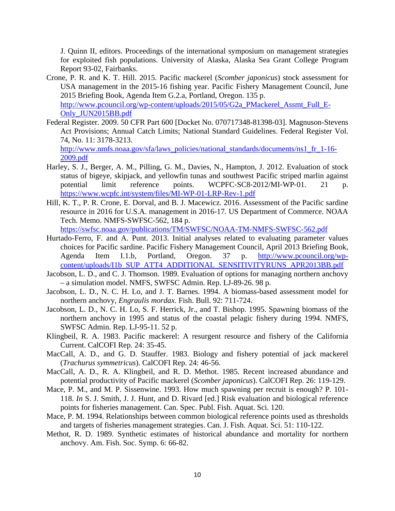J. Quinn II, editors. Proceedings of the international symposium on management strategies for exploited fish populations. University of Alaska, Alaska Sea Grant College Program Report 93-02, Fairbanks.

- Crone, P. R. and K. T. Hill. 2015. Pacific mackerel (*Scomber japonicus*) stock assessment for USA management in the 2015-16 fishing year. Pacific Fishery Management Council, June 2015 Briefing Book, Agenda Item G.2.a, Portland, Oregon. 135 p. [http://www.pcouncil.org/wp-content/uploads/2015/05/G2a\\_PMackerel\\_Assmt\\_Full\\_E-](http://www.pcouncil.org/wp-content/uploads/2015/05/G2a_PMackerel_Assmt_Full_E-Only_JUN2015BB.pdf)[Only\\_JUN2015BB.pdf](http://www.pcouncil.org/wp-content/uploads/2015/05/G2a_PMackerel_Assmt_Full_E-Only_JUN2015BB.pdf)
- Federal Register. 2009. 50 CFR Part 600 [Docket No. 070717348-81398-03]. Magnuson-Stevens Act Provisions; Annual Catch Limits; National Standard Guidelines. Federal Register Vol. 74, No. 11: 3178-3213. [http://www.nmfs.noaa.gov/sfa/laws\\_policies/national\\_standards/documents/ns1\\_fr\\_1-16-](http://www.nmfs.noaa.gov/sfa/laws_policies/national_standards/documents/ns1_fr_1-16-2009.pdf)

[2009.pdf](http://www.nmfs.noaa.gov/sfa/laws_policies/national_standards/documents/ns1_fr_1-16-2009.pdf)

- Harley, S. J., Berger, A. M., Pilling, G. M., Davies, N., Hampton, J. 2012. Evaluation of stock status of bigeye, skipjack, and yellowfin tunas and southwest Pacific striped marlin against potential limit reference points. WCPFC-SC8-2012/MI-WP-01. 21 p. <https://www.wcpfc.int/system/files/MI-WP-01-LRP-Rev-1.pdf>
- Hill, K. T., P. R. Crone, E. Dorval, and B. J. Macewicz. 2016. Assessment of the Pacific sardine resource in 2016 for U.S.A. management in 2016-17. US Department of Commerce. NOAA Tech. Memo. NMFS-SWFSC-562, 184 p.

<https://swfsc.noaa.gov/publications/TM/SWFSC/NOAA-TM-NMFS-SWFSC-562.pdf>

- Hurtado-Ferro, F. and A. Punt. 2013. Initial analyses related to evaluating parameter values choices for Pacific sardine. Pacific Fishery Management Council, April 2013 Briefing Book, Agenda Item I.1.b, Portland, Oregon. 37 p. [http://www.pcouncil.org/wp](http://www.pcouncil.org/wp-content/uploads/I1b_SUP_ATT4_ADDITIONAL_SENSITIVITYRUNS_APR2013BB.pdf)[content/uploads/I1b\\_SUP\\_ATT4\\_ADDITIONAL\\_SENSITIVITYRUNS\\_APR2013BB.pdf](http://www.pcouncil.org/wp-content/uploads/I1b_SUP_ATT4_ADDITIONAL_SENSITIVITYRUNS_APR2013BB.pdf)
- Jacobson, L. D., and C. J. Thomson. 1989. Evaluation of options for managing northern anchovy – a simulation model. NMFS, SWFSC Admin. Rep. LJ-89-26. 98 p.
- Jacobson, L. D., N. C. H. Lo, and J. T. Barnes. 1994. A biomass-based assessment model for northern anchovy, *Engraulis mordax*. Fish. Bull. 92: 711-724.
- Jacobson, L. D., N. C. H. Lo, S. F. Herrick, Jr., and T. Bishop. 1995. Spawning biomass of the northern anchovy in 1995 and status of the coastal pelagic fishery during 1994. NMFS, SWFSC Admin. Rep. LJ-95-11. 52 p.
- Klingbeil, R. A. 1983. Pacific mackerel: A resurgent resource and fishery of the California Current. CalCOFI Rep. 24: 35-45.
- MacCall, A. D., and G. D. Stauffer. 1983. Biology and fishery potential of jack mackerel (*Trachurus symmetricus*). CalCOFI Rep. 24: 46-56.
- MacCall, A. D., R. A. Klingbeil, and R. D. Methot. 1985. Recent increased abundance and potential productivity of Pacific mackerel (*Scomber japonicus*). CalCOFI Rep. 26: 119-129.
- Mace, P. M., and M. P. Sissenwine. 1993. How much spawning per recruit is enough? P. 101- 118. *In* S. J. Smith, J. J. Hunt, and D. Rivard [ed.] Risk evaluation and biological reference points for fisheries management. Can. Spec. Publ. Fish. Aquat. Sci. 120.
- Mace, P. M. 1994. Relationships between common biological reference points used as thresholds and targets of fisheries management strategies. Can. J. Fish. Aquat. Sci. 51: 110-122.
- Methot, R. D. 1989. Synthetic estimates of historical abundance and mortality for northern anchovy. Am. Fish. Soc. Symp. 6: 66-82.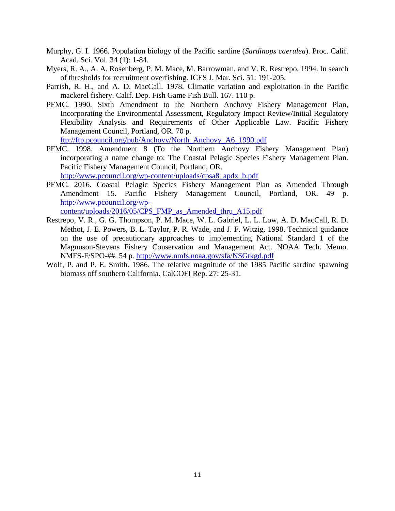- Murphy, G. I. 1966. Population biology of the Pacific sardine (*Sardinops caerulea*). Proc. Calif. Acad. Sci. Vol. 34 (1): 1-84.
- Myers, R. A., A. A. Rosenberg, P. M. Mace, M. Barrowman, and V. R. Restrepo. 1994. In search of thresholds for recruitment overfishing. ICES J. Mar. Sci. 51: 191-205.
- Parrish, R. H., and A. D. MacCall. 1978. Climatic variation and exploitation in the Pacific mackerel fishery. Calif. Dep. Fish Game Fish Bull. 167. 110 p.
- PFMC. 1990. Sixth Amendment to the Northern Anchovy Fishery Management Plan, Incorporating the Environmental Assessment, Regulatory Impact Review/Initial Regulatory Flexibility Analysis and Requirements of Other Applicable Law. Pacific Fishery Management Council, Portland, OR. 70 p. [ftp://ftp.pcouncil.org/pub/Anchovy/North\\_Anchovy\\_A6\\_1990.pdf](ftp://ftp.pcouncil.org/pub/Anchovy/North_Anchovy_A6_1990.pdf)
- PFMC. 1998. Amendment 8 (To the Northern Anchovy Fishery Management Plan) incorporating a name change to: The Coastal Pelagic Species Fishery Management Plan. Pacific Fishery Management Council, Portland, OR.

[http://www.pcouncil.org/wp-content/uploads/cpsa8\\_apdx\\_b.pdf](http://www.pcouncil.org/wp-content/uploads/cpsa8_apdx_b.pdf)

PFMC. 2016. Coastal Pelagic Species Fishery Management Plan as Amended Through Amendment 15. Pacific Fishery Management Council, Portland, OR. 49 p. [http://www.pcouncil.org/wp-](http://www.pcouncil.org/wp-content/uploads/2016/05/CPS_FMP_as_Amended_thru_A15.pdf)

[content/uploads/2016/05/CPS\\_FMP\\_as\\_Amended\\_thru\\_A15.pdf](http://www.pcouncil.org/wp-content/uploads/2016/05/CPS_FMP_as_Amended_thru_A15.pdf)

- Restrepo, V. R., G. G. Thompson, P. M. Mace, W. L. Gabriel, L. L. Low, A. D. MacCall, R. D. Methot, J. E. Powers, B. L. Taylor, P. R. Wade, and J. F. Witzig. 1998. Technical guidance on the use of precautionary approaches to implementing National Standard 1 of the Magnuson-Stevens Fishery Conservation and Management Act. NOAA Tech. Memo. NMFS-F/SPO-##. 54 p. <http://www.nmfs.noaa.gov/sfa/NSGtkgd.pdf>
- Wolf, P. and P. E. Smith. 1986. The relative magnitude of the 1985 Pacific sardine spawning biomass off southern California. CalCOFI Rep. 27: 25-31.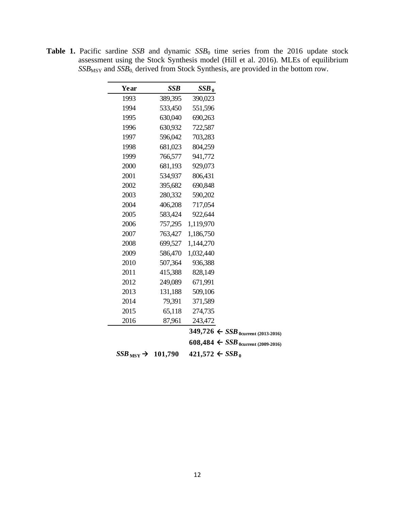| Year                           | <b>SSB</b> | $SSB_0$                                                   |  |
|--------------------------------|------------|-----------------------------------------------------------|--|
| 1993                           | 389,395    | 390,023                                                   |  |
| 1994                           | 533,450    | 551,596                                                   |  |
| 1995                           | 630,040    | 690,263                                                   |  |
| 1996                           | 630,932    | 722,587                                                   |  |
| 1997                           | 596,042    | 703,283                                                   |  |
| 1998                           | 681,023    | 804,259                                                   |  |
| 1999                           | 766,577    | 941,772                                                   |  |
| 2000                           | 681,193    | 929,073                                                   |  |
| 2001                           | 534,937    | 806,431                                                   |  |
| 2002                           | 395,682    | 690,848                                                   |  |
| 2003                           | 280,332    | 590,202                                                   |  |
| 2004                           | 406,208    | 717,054                                                   |  |
| 2005                           | 583,424    | 922,644                                                   |  |
| 2006                           | 757,295    | 1,119,970                                                 |  |
| 2007                           | 763,427    | 1,186,750                                                 |  |
| 2008                           | 699,527    | 1,144,270                                                 |  |
| 2009                           | 586,470    | 1,032,440                                                 |  |
| 2010                           | 507,364    | 936,388                                                   |  |
| 2011                           | 415,388    | 828,149                                                   |  |
| 2012                           | 249,089    | 671,991                                                   |  |
| 2013                           | 131,188    | 509,106                                                   |  |
| 2014                           | 79,391     | 371,589                                                   |  |
| 2015                           | 65,118     | 274,735                                                   |  |
| 2016                           | 87,961     | 243,472                                                   |  |
|                                |            | 349,726 $\leftarrow$ SSB <sub>0</sub> current (2013-2016) |  |
|                                |            | 608,484 $\leftarrow$ SSB <sub>0</sub> current (2009-2016) |  |
| $SSB_{\text{MSY}} \rightarrow$ | 101,790    | $421,572 \div SSB_0$                                      |  |

**Table 1.** Pacific sardine *SSB* and dynamic *SSB*<sup>0</sup> time series from the 2016 update stock assessment using the Stock Synthesis model (Hill et al. 2016). MLEs of equilibrium *SSB*MSY and *SSB*0, derived from Stock Synthesis, are provided in the bottom row.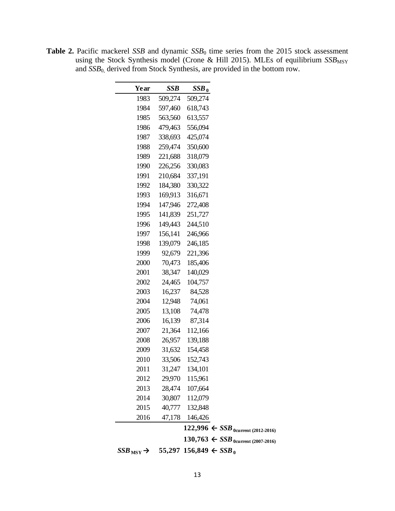| Year                           | SSB     | $SSB_0$                                                   |
|--------------------------------|---------|-----------------------------------------------------------|
| 1983                           | 509,274 | 509,274                                                   |
| 1984                           | 597,460 | 618,743                                                   |
| 1985                           | 563,560 | 613,557                                                   |
| 1986                           | 479,463 | 556,094                                                   |
| 1987                           | 338,693 | 425,074                                                   |
| 1988                           | 259,474 | 350,600                                                   |
| 1989                           | 221,688 | 318,079                                                   |
| 1990                           | 226,256 | 330,083                                                   |
| 1991                           | 210,684 | 337,191                                                   |
| 1992                           | 184,380 | 330,322                                                   |
| 1993                           | 169,913 | 316,671                                                   |
| 1994                           | 147,946 | 272,408                                                   |
| 1995                           | 141,839 | 251,727                                                   |
| 1996                           | 149,443 | 244,510                                                   |
| 1997                           | 156,141 | 246,966                                                   |
| 1998                           | 139,079 | 246,185                                                   |
| 1999                           | 92,679  | 221,396                                                   |
| 2000                           | 70,473  | 185,406                                                   |
| 2001                           | 38,347  | 140,029                                                   |
| 2002                           | 24,465  | 104,757                                                   |
| 2003                           |         |                                                           |
|                                | 16,237  | 84,528                                                    |
| 2004                           | 12,948  | 74,061                                                    |
| 2005                           | 13,108  | 74,478                                                    |
| 2006                           | 16,139  | 87,314                                                    |
| 2007                           | 21,364  | 112,166                                                   |
| 2008                           | 26,957  | 139,188                                                   |
| 2009                           | 31,632  | 154,458                                                   |
| 2010                           | 33,506  | 152,743                                                   |
| 2011                           | 31,247  | 134,101                                                   |
| 2012                           |         | 29,970 115,961                                            |
| 2013                           |         | 28,474 107,664                                            |
| 2014                           |         | 30,807 112,079                                            |
| 2015                           |         | 40,777 132,848                                            |
| 2016                           |         | 47,178 146,426                                            |
|                                |         | 122,996 $\leftarrow$ SSB <sub>0</sub> current (2012-2016) |
|                                |         | $130,763 \leftarrow SSB_{0current (2007-2016)}$           |
| $SSB_{\text{MSY}} \rightarrow$ |         | 55,297 156,849 $\leftarrow$ SSB <sub>0</sub>              |
|                                |         |                                                           |

**Table 2.** Pacific mackerel *SSB* and dynamic *SSB*<sup>0</sup> time series from the 2015 stock assessment using the Stock Synthesis model (Crone & Hill 2015). MLEs of equilibrium *SSB*<sub>MSY</sub> and *SSB*0, derived from Stock Synthesis, are provided in the bottom row.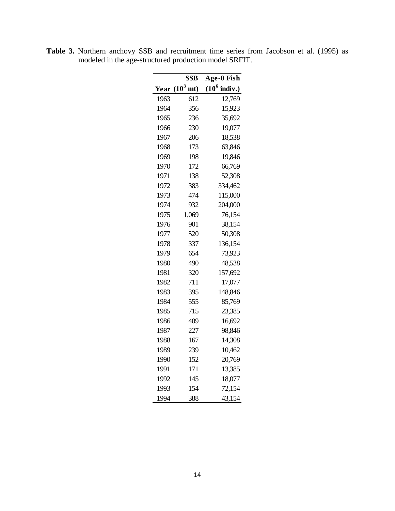|      | <b>SSB</b>     | Age-0 Fish              |
|------|----------------|-------------------------|
| Year | $(10^3$<br>mt) | $(10^6 \text{ indiv.})$ |
| 1963 | 612            | 12,769                  |
| 1964 | 356            | 15,923                  |
| 1965 | 236            | 35,692                  |
| 1966 | 230            | 19,077                  |
| 1967 | 206            | 18,538                  |
| 1968 | 173            | 63,846                  |
| 1969 | 198            | 19,846                  |
| 1970 | 172            | 66,769                  |
| 1971 | 138            | 52,308                  |
| 1972 | 383            | 334,462                 |
| 1973 | 474            | 115,000                 |
| 1974 | 932            | 204,000                 |
| 1975 | 1,069          | 76,154                  |
| 1976 | 901            | 38,154                  |
| 1977 | 520            | 50,308                  |
| 1978 | 337            | 136,154                 |
| 1979 | 654            | 73,923                  |
| 1980 | 490            | 48,538                  |
| 1981 | 320            | 157,692                 |
| 1982 | 711            | 17,077                  |
| 1983 | 395            | 148,846                 |
| 1984 | 555            | 85,769                  |
| 1985 | 715            | 23,385                  |
| 1986 | 409            | 16,692                  |
| 1987 | 227            | 98,846                  |
| 1988 | 167            | 14,308                  |
| 1989 | 239            | 10,462                  |
| 1990 | 152            | 20,769                  |
| 1991 | 171            | 13,385                  |
| 1992 | 145            | 18,077                  |
| 1993 | 154            | 72,154                  |
| 1994 | 388            | 43,154                  |

**Table 3.** Northern anchovy SSB and recruitment time series from Jacobson et al. (1995) as modeled in the age-structured production model SRFIT.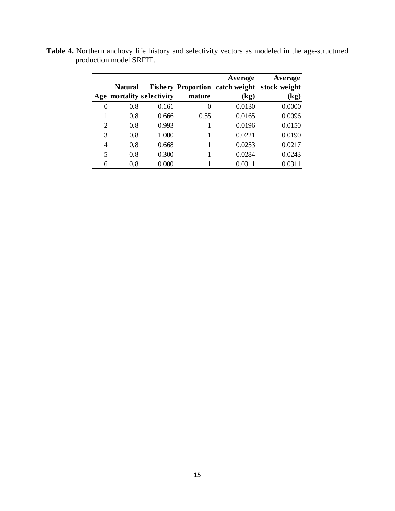|   |                |                           |        | Average                      | Average                                      |
|---|----------------|---------------------------|--------|------------------------------|----------------------------------------------|
|   | <b>Natural</b> |                           |        |                              | Fishery Proportion catch weight stock weight |
|   |                | Age mortality selectivity | mature | $\left( \mathbf{kg} \right)$ | (kg)                                         |
| 0 | 0.8            | 0.161                     | $_{0}$ | 0.0130                       | 0.0000                                       |
|   | 0.8            | 0.666                     | 0.55   | 0.0165                       | 0.0096                                       |
| 2 | 0.8            | 0.993                     |        | 0.0196                       | 0.0150                                       |
| 3 | 0.8            | 1.000                     |        | 0.0221                       | 0.0190                                       |
| 4 | 0.8            | 0.668                     |        | 0.0253                       | 0.0217                                       |
| 5 | 0.8            | 0.300                     |        | 0.0284                       | 0.0243                                       |
| 6 | 0.8            | 0.000                     |        | 0.0311                       | 0.0311                                       |

**Table 4.** Northern anchovy life history and selectivity vectors as modeled in the age-structured production model SRFIT.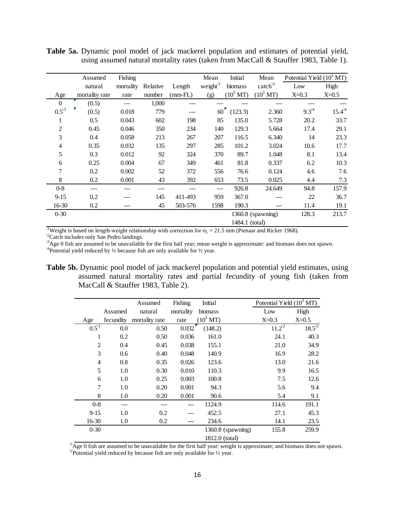|                | Assumed        | Fishing   |          |               | Mean                 | <b>Initial</b>      | Mean                | Potential Yield $(10^3$ MT) |            |
|----------------|----------------|-----------|----------|---------------|----------------------|---------------------|---------------------|-----------------------------|------------|
|                | natural        | mortality | Relative | Length        | weight $\frac{1}{1}$ | biomass             | catch $^{2}$        | Low                         | High       |
| Age            | mortality rate | rate      | number   | $(mm$ -FL $)$ | (g)                  | $(10^3 \text{ MT})$ | $(10^3 \text{ MT})$ | $X=0.3$                     | $X=0.5$    |
| $\overline{0}$ | (0.5)          | ---       | 1,000    |               |                      |                     |                     |                             |            |
| $0.5^{3}$      | (0.5)          | 0.018     | 779      | ---           | $60^{\circ}$         | (123.3)             | 2.360               | $9.3^{14}$                  | $15.4^{4}$ |
| 1              | 0.5            | 0.043     | 602      | 198           | 85                   | 135.0               | 5.728               | 20.2                        | 33.7       |
| 2              | 0.45           | 0.046     | 350      | 234           | 140                  | 129.3               | 5.664               | 17.4                        | 29.1       |
| 3              | 0.4            | 0.058     | 213      | 267           | 207                  | 116.5               | 6.340               | 14                          | 23.3       |
| 4              | 0.35           | 0.032     | 135      | 297           | 285                  | 101.2               | 3.024               | 10.6                        | 17.7       |
| 5              | 0.3            | 0.012     | 92       | 324           | 370                  | 89.7                | 1.048               | 8.1                         | 13.4       |
| 6              | 0.25           | 0.004     | 67       | 349           | 461                  | 81.8                | 0.337               | 6.2                         | 10.3       |
| 7              | 0.2            | 0.002     | 52       | 372           | 556                  | 76.6                | 0.124               | 4.6                         | 7.6        |
| 8              | 0.2            | 0.001     | 43       | 392           | 653                  | 73.5                | 0.025               | 4.4                         | 7.3        |
| $0 - 8$        | ---            |           | ---      |               | $---$                | 926.8               | 24.649              | 94.8                        | 157.9      |
| $9 - 15$       | 0.2            |           | 145      | 411-493       | 959                  | 367.0               |                     | 22                          | 36.7       |
| 16-30          | 0.2            | ---       | 45       | 503-576       | 1598                 | 190.3               | ---                 | 11.4                        | 19.1       |
| $0 - 30$       |                |           |          |               |                      |                     | $1360.8$ (spawning) | 128.3                       | 213.7      |

**Table 5a.** Dynamic pool model of jack mackerel population and estimates of potential yield, using assumed natural mortality rates (taken from MacCall & Stauffer 1983, Table 1).

<sup>\1</sup>Weight is based on length-weight relationship with correction for  $\sigma_L = 21.5$  mm (Pienaar and Ricker 1968).

<sup>2</sup>Catch includes only San Pedro landings.

 $\beta$ Age 0 fish are assumed to be unavailable for the first half year; mean weight is approximate: and biomass does not spawn.  $\beta$  about the magnetic space of the space fish are only available for 16 year.

<sup>14</sup>Potential yield reduced by  $\frac{1}{2}$  because fish are only available for  $\frac{1}{2}$  year.

**Table 5b.** Dynamic pool model of jack mackerel population and potential yield estimates, using assumed natural mortality rates and partial fecundity of young fish (taken from MacCall & Stauffer 1983, Table 2).

1484.1 (total)

|                |           | Assumed        | Fishing   | Initial                | Potential Yield $(10^3$ MT) |            |
|----------------|-----------|----------------|-----------|------------------------|-----------------------------|------------|
|                | Assumed   | natural        | mortality | biomass                | Low                         | High       |
| Age            | fecundity | mortality rate | rate      | $(10^3 \,\mathrm{MT})$ | $X=0.3$                     | $X=0.5$    |
| $0.5^{1}$      | 0.0       | 0.50           | 0.032     | (148.2)                | $11.2^{2}$                  | $18.5^{2}$ |
| 1              | 0.2       | 0.50           | 0.036     | 161.0                  | 24.1                        | 40.3       |
| $\overline{2}$ | 0.4       | 0.45           | 0.038     | 155.1                  | 21.0                        | 34.9       |
| 3              | 0.6       | 0.40           | 0.048     | 140.9                  | 16.9                        | 28.2       |
| 4              | 0.8       | 0.35           | 0.026     | 123.6                  | 13.0                        | 21.6       |
| 5              | 1.0       | 0.30           | 0.010     | 110.3                  | 9.9                         | 16.5       |
| 6              | 1.0       | 0.25           | 0.003     | 100.8                  | 7.5                         | 12.6       |
| 7              | 1.0       | 0.20           | 0.001     | 94.3                   | 5.6                         | 9.4        |
| 8              | 1.0       | 0.20           | 0.001     | 90.6                   | 5.4                         | 9.1        |
| $0-8$          |           |                |           | 1124.9                 | 114.6                       | 191.1      |
| $9 - 15$       | 1.0       | 0.2            |           | 452.5                  | 27.1                        | 45.3       |
| 16-30          | 1.0       | 0.2            |           | 234.6                  | 14.1                        | 23.5       |
| $0 - 30$       |           |                |           | 1360.8 (spawning)      | 155.8                       | 259.9      |
|                |           |                |           | 1812.0 (total)         |                             |            |

 $\mu$ Age 0 fish are assumed to be unavailable for the first half year: weight is approximate; and biomass does not spawn. <sup>2</sup>Potential yield reduced by because fish are only available for  $\frac{1}{2}$  year.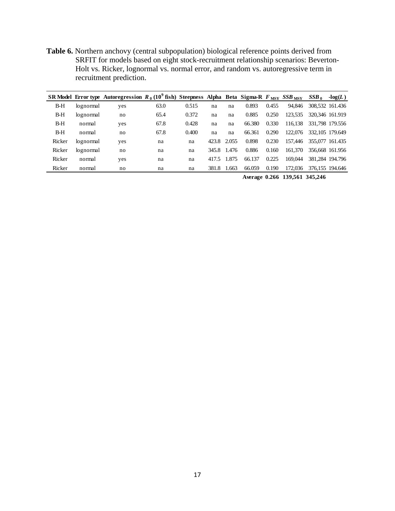**Table 6.** Northern anchovy (central subpopulation) biological reference points derived from SRFIT for models based on eight stock-recruitment relationship scenarios: Beverton-Holt vs. Ricker, lognormal vs. normal error, and random vs. autoregressive term in recruitment prediction.

|        |           | SR Model Error type Autoregression $R_0$ (10 <sup>9</sup> fish) Steepness Alpha Beta Sigma-R $F_{\text{MSV}}$ SSB $_{\text{MSV}}$ |      |       |             |       |        |       |         | $SSB_0$ | $-log(L)$       |
|--------|-----------|-----------------------------------------------------------------------------------------------------------------------------------|------|-------|-------------|-------|--------|-------|---------|---------|-----------------|
| $B-H$  | lognormal | yes                                                                                                                               | 63.0 | 0.515 | na          | na    | 0.893  | 0.455 | 94.846  |         | 308.532 161.436 |
| $B-H$  | lognormal | no                                                                                                                                | 65.4 | 0.372 | na          | na    | 0.885  | 0.250 | 123,535 |         | 320,346 161.919 |
| $B-H$  | normal    | yes                                                                                                                               | 67.8 | 0.428 | na          | na    | 66.380 | 0.330 | 116,138 |         | 331,798 179,556 |
| $B-H$  | normal    | no                                                                                                                                | 67.8 | 0.400 | na          | na    | 66.361 | 0.290 | 122,076 |         | 332,105 179,649 |
| Ricker | lognormal | yes                                                                                                                               | na   | na    | 423.8 2.055 |       | 0.898  | 0.230 | 157.446 |         | 355,077 161.435 |
| Ricker | lognormal | no                                                                                                                                | na   | na    | 345.8 1.476 |       | 0.886  | 0.160 | 161,370 |         | 356,668 161,956 |
| Ricker | normal    | yes                                                                                                                               | na   | na    | 417.5       | 1.875 | 66.137 | 0.225 | 169.044 |         | 381,284 194,796 |
| Ricker | normal    | no                                                                                                                                | na   | na    | 381.8 1.663 |       | 66.059 | 0.190 | 172,036 |         | 376,155 194,646 |

**Average 0.266 139,561 345,246**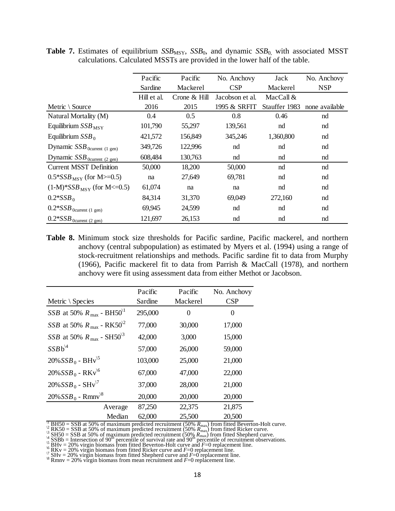|                                       | Pacific     | Pacific      | No. Anchovy     | Jack          | No. Anchovy    |
|---------------------------------------|-------------|--------------|-----------------|---------------|----------------|
|                                       | Sardine     | Mackerel     | <b>CSP</b>      | Mackerel      | <b>NSP</b>     |
|                                       | Hill et al. | Crone & Hill | Jacobson et al. | MacCall $&$   |                |
| Metric \ Source                       | 2016        | 2015         | 1995 & SRFIT    | Stauffer 1983 | none available |
| Natural Mortality (M)                 | 0.4         | 0.5          | 0.8             | 0.46          | nd             |
| Equilibrium $SSB_{MSY}$               | 101,790     | 55,297       | 139,561         | nd            | nd             |
| Equilibrium $SSB_0$                   | 421,572     | 156,849      | 345,246         | 1,360,800     | nd             |
| Dynamic $SSB_{0current (1 gen)}$      | 349,726     | 122,996      | nd              | nd            | nd             |
| Dynamic $SSB_{0current (2 gen)}$      | 608,484     | 130,763      | nd              | nd            | nd             |
| <b>Current MSST Definition</b>        | 50,000      | 18,200       | 50,000          | nd            | nd             |
| $0.5 * SSB_{MSY}$ (for M $\geq 0.5$ ) | na          | 27,649       | 69,781          | nd            | nd             |
| $(1-M)^*SSB_{MSY}$ (for M<=0.5)       | 61,074      | na           | na              | nd            | nd             |
| $0.2*SSB_0$                           | 84,314      | 31,370       | 69,049          | 272,160       | nd             |
| $0.2*SSB_{0current (1 gen)}$          | 69,945      | 24,599       | nd              | nd            | nd             |
| $0.2*SSB_{0current (2 gen)}$          | 121,697     | 26,153       | nd              | nd            | nd             |

**Table 7.** Estimates of equilibrium *SSB*<sub>MSY</sub>, *SSB*<sub>0</sub>, and dynamic *SSB*<sub>0</sub>, with associated MSST calculations. Calculated MSSTs are provided in the lower half of the table.

**Table 8.** Minimum stock size thresholds for Pacific sardine, Pacific mackerel, and northern anchovy (central subpopulation) as estimated by Myers et al. (1994) using a range of stock-recruitment relationships and methods. Pacific sardine fit to data from Murphy (1966), Pacific mackerel fit to data from Parrish & MacCall (1978), and northern anchovy were fit using assessment data from either Methot or Jacobson.

|                                                         | Pacific | Pacific  | No. Anchovy |
|---------------------------------------------------------|---------|----------|-------------|
| Metric $\setminus$ Species                              | Sardine | Mackerel | CSP         |
| <i>SSB</i> at 50% $R_{\text{max}}$ - BH50 <sup>1</sup>  | 295,000 | 0        | 0           |
| <i>SSB</i> at 50% $R_{\text{max}}$ - RK50 <sup>\2</sup> | 77,000  | 30,000   | 17,000      |
| <i>SSB</i> at 50% $R_{\text{max}}$ - SH50 <sup>\3</sup> | 42,000  | 3,000    | 15,000      |
| $SSBb^{4}$                                              | 57,000  | 26,000   | 59,000      |
| $20\% SSB_0 - BHv^{5}$                                  | 103,000 | 25,000   | 21,000      |
| $20\% SSB_0 - RKv^{6}$                                  | 67,000  | 47,000   | 22,000      |
| $20\% SSB_0 - SHv^{17}$                                 | 37,000  | 28,000   | 21,000      |
| $20\% SSB_0$ - Rmnv <sup>\8</sup>                       | 20,000  | 20,000   | 20,000      |
| Average                                                 | 87,250  | 22,375   | 21,875      |
| Median                                                  | 62,000  | 25,500   | 20,500      |

<sup>V</sup> BH50 = SSB at 50% of maximum predicted recruitment (50%  $R_{\text{max}}$ ) from fitted Beverton-Holt curve.<br><sup>23</sup> RK50 = SSB at 50% of maximum predicted recruitment (50%  $R_{\text{max}}$ ) from fitted Ricker curve.<br><sup>24</sup> SH50 = SSB at